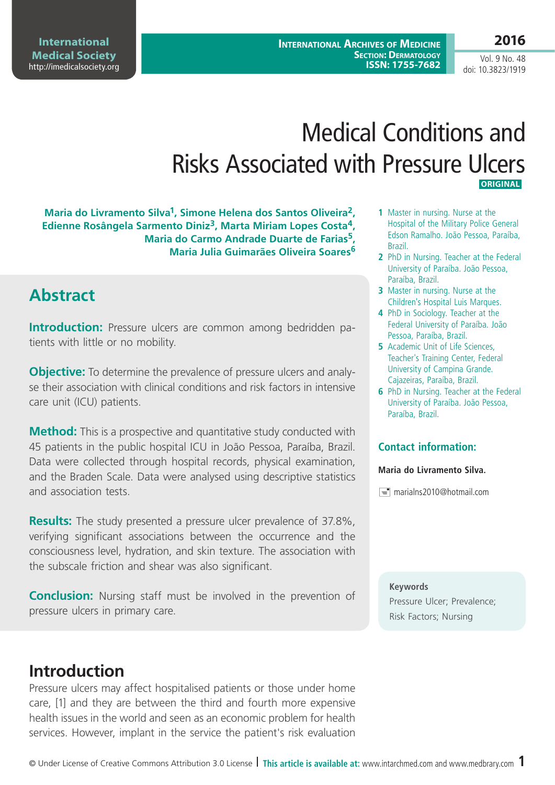**International Archives of Medicine Section: Dermatology ISSN: 1755-7682**

# Medical Conditions and Risks Associated with Pressure Ulcers  **Original**

**Maria do Livramento Silva1, Simone Helena dos Santos Oliveira2, Edienne Rosângela Sarmento Diniz3, Marta Miriam Lopes Costa4, Maria do Carmo Andrade Duarte de Farias5, Maria Julia Guimarães Oliveira Soares<sup>6</sup>**

# **Abstract**

**Introduction:** Pressure ulcers are common among bedridden patients with little or no mobility.

**Objective:** To determine the prevalence of pressure ulcers and analyse their association with clinical conditions and risk factors in intensive care unit (ICU) patients.

**Method:** This is a prospective and quantitative study conducted with 45 patients in the public hospital ICU in João Pessoa, Paraíba, Brazil. Data were collected through hospital records, physical examination, and the Braden Scale. Data were analysed using descriptive statistics and association tests.

**Results:** The study presented a pressure ulcer prevalence of 37.8%, verifying significant associations between the occurrence and the consciousness level, hydration, and skin texture. The association with the subscale friction and shear was also significant.

**Conclusion:** Nursing staff must be involved in the prevention of pressure ulcers in primary care.

# **Introduction**

Pressure ulcers may affect hospitalised patients or those under home care, [1] and they are between the third and fourth more expensive health issues in the world and seen as an economic problem for health services. However, implant in the service the patient's risk evaluation

- **1** Master in nursing. Nurse at the Hospital of the Military Police General Edson Ramalho. João Pessoa, Paraíba, Brazil.
- **2** PhD in Nursing. Teacher at the Federal University of Paraíba. João Pessoa, Paraíba, Brazil.
- **3** Master in nursing. Nurse at the Children's Hospital Luis Marques.
- **4** PhD in Sociology. Teacher at the Federal University of Paraíba. João Pessoa, Paraíba, Brazil.
- **5** Academic Unit of Life Sciences, Teacher's Training Center, Federal University of Campina Grande. Cajazeiras, Paraíba, Brazil.
- **6** PhD in Nursing. Teacher at the Federal University of Paraíba. João Pessoa, Paraíba, Brazil.

### **Contact information:**

### **Maria do Livramento Silva.**

 $\equiv$  marialns2010@hotmail.com

**Keywords** Pressure Ulcer; Prevalence; Risk Factors; Nursing

Vol. 9 No. 48 doi: 10.3823/1919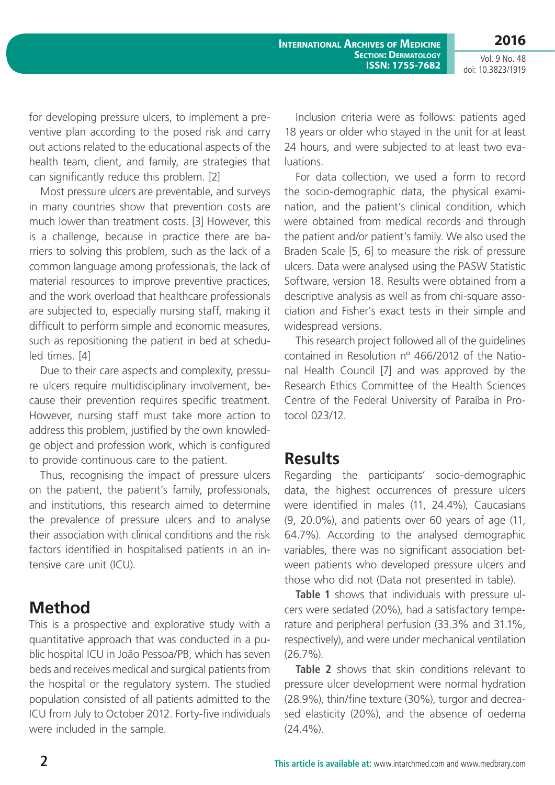**2016** Vol. 9 No. 48

doi: 10.3823/1919

for developing pressure ulcers, to implement a preventive plan according to the posed risk and carry out actions related to the educational aspects of the health team, client, and family, are strategies that can significantly reduce this problem. [2]

Most pressure ulcers are preventable, and surveys in many countries show that prevention costs are much lower than treatment costs. [3] However, this is a challenge, because in practice there are barriers to solving this problem, such as the lack of a common language among professionals, the lack of material resources to improve preventive practices, and the work overload that healthcare professionals are subjected to, especially nursing staff, making it difficult to perform simple and economic measures, such as repositioning the patient in bed at scheduled times. [4]

Due to their care aspects and complexity, pressure ulcers require multidisciplinary involvement, because their prevention requires specific treatment. However, nursing staff must take more action to address this problem, justified by the own knowledge object and profession work, which is configured to provide continuous care to the patient.

Thus, recognising the impact of pressure ulcers on the patient, the patient's family, professionals, and institutions, this research aimed to determine the prevalence of pressure ulcers and to analyse their association with clinical conditions and the risk factors identified in hospitalised patients in an intensive care unit (ICU).

# **Method**

This is a prospective and explorative study with a quantitative approach that was conducted in a public hospital ICU in João Pessoa/PB, which has seven beds and receives medical and surgical patients from the hospital or the regulatory system. The studied population consisted of all patients admitted to the ICU from July to October 2012. Forty-five individuals were included in the sample.

Inclusion criteria were as follows: patients aged 18 years or older who stayed in the unit for at least 24 hours, and were subjected to at least two evaluations.

For data collection, we used a form to record the socio-demographic data, the physical examination, and the patient's clinical condition, which were obtained from medical records and through the patient and/or patient's family. We also used the Braden Scale [5, 6] to measure the risk of pressure ulcers. Data were analysed using the PASW Statistic Software, version 18. Results were obtained from a descriptive analysis as well as from chi-square association and Fisher's exact tests in their simple and widespread versions.

This research project followed all of the guidelines contained in Resolution nº 466/2012 of the National Health Council [7] and was approved by the Research Ethics Committee of the Health Sciences Centre of the Federal University of Paraíba in Protocol 023/12.

### **Results**

Regarding the participants' socio-demographic data, the highest occurrences of pressure ulcers were identified in males (11, 24.4%), Caucasians (9, 20.0%), and patients over 60 years of age (11, 64.7%). According to the analysed demographic variables, there was no significant association between patients who developed pressure ulcers and those who did not (Data not presented in table).

**Table 1** shows that individuals with pressure ulcers were sedated (20%), had a satisfactory temperature and peripheral perfusion (33.3% and 31.1%, respectively), and were under mechanical ventilation (26.7%).

**Table 2** shows that skin conditions relevant to pressure ulcer development were normal hydration (28.9%), thin/fine texture (30%), turgor and decreased elasticity (20%), and the absence of oedema (24.4%).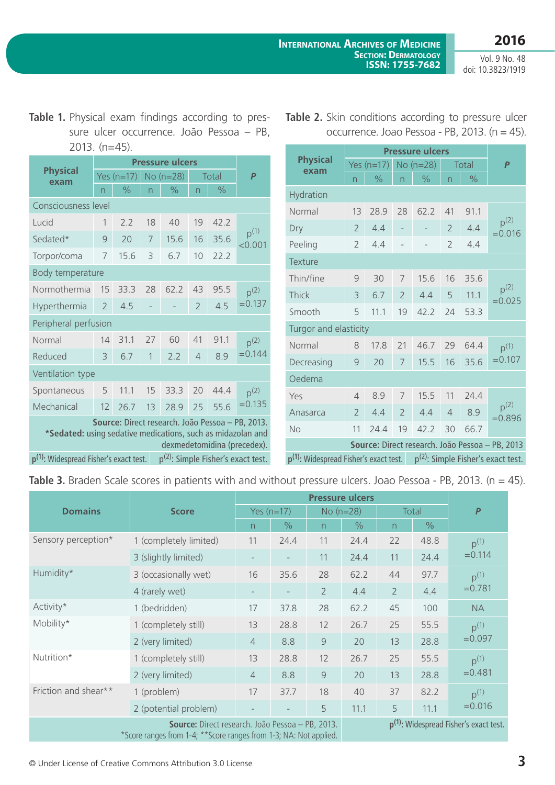Vol. 9 No. 48 doi: 10.3823/1919

**Table 1.** Physical exam findings according to pressure ulcer occurrence. João Pessoa – PB, 2013. (n=45).

| <b>Physical</b><br>exam                                                                                                                        | Yes $(n=17)$   |               |                | No (n=28)     | Total                 |      | $\overline{P}$                |  |  |
|------------------------------------------------------------------------------------------------------------------------------------------------|----------------|---------------|----------------|---------------|-----------------------|------|-------------------------------|--|--|
|                                                                                                                                                | n              | $\frac{0}{0}$ | n              | $\frac{0}{0}$ | n                     | $\%$ |                               |  |  |
| Consciousness level                                                                                                                            |                |               |                |               |                       |      |                               |  |  |
| Lucid                                                                                                                                          | 1              | 2.2           | 18             | 40            | 19                    | 42.2 |                               |  |  |
| Sedated*                                                                                                                                       | 9              | 20            | 7              | 15.6          | 16                    | 35.6 | $p^{(1)}$<br>< 0.001          |  |  |
| Torpor/coma                                                                                                                                    | 7              | 15.6          | 3              | 6.7           | 10                    | 22.2 |                               |  |  |
| Body temperature                                                                                                                               |                |               |                |               |                       |      |                               |  |  |
| Normothermia                                                                                                                                   | 15             | 33.3          | 28             | 62.2          | 43                    | 95.5 | p <sup>(2)</sup><br>$= 0.137$ |  |  |
| Hyperthermia                                                                                                                                   | $\overline{2}$ | 4.5           | $\overline{a}$ |               | $\overline{2}$        | 4.5  |                               |  |  |
| Peripheral perfusion                                                                                                                           |                |               |                |               |                       |      |                               |  |  |
| Normal                                                                                                                                         | 14             | 31.1          | 27             | 60            | 41                    | 91.1 | $p^{(2)}$                     |  |  |
| Reduced                                                                                                                                        | 3              | 6.7           | $\mathbf{1}$   | 2.2           | 8.9<br>$\overline{4}$ |      | $= 0.144$                     |  |  |
| Ventilation type                                                                                                                               |                |               |                |               |                       |      |                               |  |  |
| Spontaneous                                                                                                                                    | 5              | 11.1          | 15             | 33.3          | 20                    | 44.4 | $p^{(2)}$                     |  |  |
| Mechanical                                                                                                                                     | 12             | 26.7          | 13             | 28.9          | 25                    | 55.6 | $= 0.135$                     |  |  |
| Source: Direct research. João Pessoa - PB, 2013.<br>*Sedated: using sedative medications, such as midazolan and<br>dexmedetomidina (precedex). |                |               |                |               |                       |      |                               |  |  |
| p <sup>(1)</sup> : Widespread Fisher's exact test.<br>p <sup>(2)</sup> : Simple Fisher's exact test.                                           |                |               |                |               |                       |      |                               |  |  |

| <b>Physical</b><br>exam                                                                              | Yes $(n=17)$             |               |                          | No (n=28)     | Total          |               | $\overline{P}$                |  |  |  |
|------------------------------------------------------------------------------------------------------|--------------------------|---------------|--------------------------|---------------|----------------|---------------|-------------------------------|--|--|--|
|                                                                                                      | n                        | $\frac{1}{2}$ | n                        | $\frac{0}{0}$ | n              | $\frac{1}{2}$ |                               |  |  |  |
| Hydration                                                                                            |                          |               |                          |               |                |               |                               |  |  |  |
| Normal                                                                                               | 13                       | 28.9          | 28                       | 62.2          | 41             | 91.1          | p <sup>(2)</sup><br>$= 0.016$ |  |  |  |
| Dry                                                                                                  | $\overline{2}$           | 4.4           | $\overline{\phantom{0}}$ |               | $\overline{2}$ | 4.4           |                               |  |  |  |
| Peeling                                                                                              | $\overline{2}$           | 4.4           |                          |               | $\overline{2}$ | 4.4           |                               |  |  |  |
| Texture                                                                                              |                          |               |                          |               |                |               |                               |  |  |  |
| Thin/fine                                                                                            | 9                        | 30            | 7                        | 15.6          | 16             | 35.6          | $p^{(2)}$<br>$=0.025$         |  |  |  |
| Thick                                                                                                | 3                        | 6.7           | $\overline{2}$           | 4.4           | 5              | 11.1          |                               |  |  |  |
| Smooth                                                                                               | 5                        | 11.1          | 19                       | 42.2          | 24             | 53.3          |                               |  |  |  |
| Turgor and elasticity                                                                                |                          |               |                          |               |                |               |                               |  |  |  |
| Normal                                                                                               | 8                        | 17.8          | 21                       | 46.7          | 29             | 64.4          | $p^{(1)}$                     |  |  |  |
| Decreasing                                                                                           | 20<br>9                  |               | 7                        | 15.5          |                | 35.6          | $= 0.107$                     |  |  |  |
| Oedema                                                                                               |                          |               |                          |               |                |               |                               |  |  |  |
| Yes                                                                                                  | $\overline{4}$           | 8.9           | $\overline{7}$           | 15.5          | 11             | 24.4          |                               |  |  |  |
| Anasarca                                                                                             | $\overline{\phantom{a}}$ | 4.4           | $\mathcal{P}$            | 4.4           | $\overline{4}$ | 8.9           | $p^{(2)}$<br>$=0.896$         |  |  |  |
| <b>No</b>                                                                                            | 11                       | 24.4          | 19                       | 42.2          | 30             | 66.7          |                               |  |  |  |
| Source: Direct research. João Pessoa - PB, 2013                                                      |                          |               |                          |               |                |               |                               |  |  |  |
| p <sup>(2)</sup> : Simple Fisher's exact test.<br>p <sup>(1)</sup> : Widespread Fisher's exact test. |                          |               |                          |               |                |               |                               |  |  |  |

|  |  |  | Table 2. Skin conditions according to pressure ulcer |  |
|--|--|--|------------------------------------------------------|--|
|  |  |  | occurrence. Joao Pessoa - PB, 2013. ( $n = 45$ ).    |  |

Table 3. Braden Scale scores in patients with and without pressure ulcers. Joao Pessoa - PB, 2013. (n = 45).

| <b>Domains</b>                                                    | <b>Score</b>                                                                                           | Yes $(n=17)$             |               | $No(n=28)$     |                    | Total          |               | $\boldsymbol{P}$              |  |
|-------------------------------------------------------------------|--------------------------------------------------------------------------------------------------------|--------------------------|---------------|----------------|--------------------|----------------|---------------|-------------------------------|--|
|                                                                   |                                                                                                        | n.                       | $\frac{1}{2}$ | n              | $\frac{0}{0}$      | n              | $\frac{0}{0}$ |                               |  |
| Sensory perception*                                               | 1 (completely limited)                                                                                 | 11                       | 24.4          | 11             | 24.4               | 22             | 48.8          | $p^{(1)}$                     |  |
|                                                                   | 3 (slightly limited)                                                                                   |                          |               | 11             | 11<br>24.4<br>24.4 |                | $= 0.114$     |                               |  |
| Humidity*                                                         | 3 (occasionally wet)                                                                                   | 16                       | 35.6          | 28             | 62.2               | 44             | 97.7          | $p^{(1)}$<br>$= 0.781$        |  |
|                                                                   | 4 (rarely wet)                                                                                         | $\overline{\phantom{a}}$ |               | $\overline{2}$ | 4.4                | $\overline{2}$ | 4.4           |                               |  |
| Activity*                                                         | 1 (bedridden)                                                                                          | 17                       | 37.8          | 28             | 62.2               | 45             | 100           | <b>NA</b>                     |  |
| Mobility*                                                         | 1 (completely still)                                                                                   | 13                       | 28.8          | 12             | 26.7               | 25             | 55.5          | p <sup>(1)</sup><br>$=0.097$  |  |
|                                                                   | 2 (very limited)                                                                                       | $\overline{4}$           | 8.8           | $\overline{9}$ | 20                 | 13             | 28.8          |                               |  |
| Nutrition*                                                        | 1 (completely still)                                                                                   | 13                       | 28.8          | 12             | 26.7               | 25             | 55.5          | p <sup>(1)</sup><br>$= 0.481$ |  |
|                                                                   | 2 (very limited)                                                                                       | $\overline{4}$           | 8.8           | $\overline{9}$ | 20                 | 13             | 28.8          |                               |  |
| Friction and shear**                                              | 1 (problem)                                                                                            | 17                       | 37.7          | 18             | 40                 | 37             | 82.2          | p <sup>(1)</sup>              |  |
|                                                                   | 2 (potential problem)                                                                                  |                          |               | 5              | 11.1               | 5              | 11.1          | $= 0.016$                     |  |
| *Score ranges from 1-4; **Score ranges from 1-3; NA: Not applied. | $p^{(1)}$ : Widespread Fisher's exact test.<br><b>Source:</b> Direct research. João Pessoa - PB, 2013. |                          |               |                |                    |                |               |                               |  |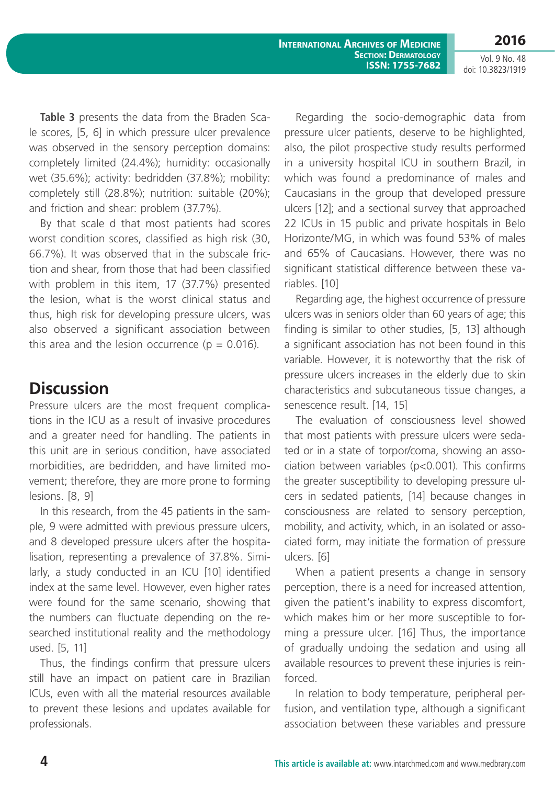**International Archives of Medicine Section: Dermatology ISSN: 1755-7682**

**2016** Vol. 9 No. 48

doi: 10.3823/1919

**Table 3** presents the data from the Braden Scale scores, [5, 6] in which pressure ulcer prevalence was observed in the sensory perception domains: completely limited (24.4%); humidity: occasionally wet (35.6%); activity: bedridden (37.8%); mobility: completely still (28.8%); nutrition: suitable (20%); and friction and shear: problem (37.7%).

By that scale d that most patients had scores worst condition scores, classified as high risk (30, 66.7%). It was observed that in the subscale friction and shear, from those that had been classified with problem in this item, 17 (37.7%) presented the lesion, what is the worst clinical status and thus, high risk for developing pressure ulcers, was also observed a significant association between this area and the lesion occurrence ( $p = 0.016$ ).

# **Discussion**

Pressure ulcers are the most frequent complications in the ICU as a result of invasive procedures and a greater need for handling. The patients in this unit are in serious condition, have associated morbidities, are bedridden, and have limited movement; therefore, they are more prone to forming lesions. [8, 9]

In this research, from the 45 patients in the sample, 9 were admitted with previous pressure ulcers, and 8 developed pressure ulcers after the hospitalisation, representing a prevalence of 37.8%. Similarly, a study conducted in an ICU [10] identified index at the same level. However, even higher rates were found for the same scenario, showing that the numbers can fluctuate depending on the researched institutional reality and the methodology used. [5, 11]

Thus, the findings confirm that pressure ulcers still have an impact on patient care in Brazilian ICUs, even with all the material resources available to prevent these lesions and updates available for professionals.

Regarding the socio-demographic data from pressure ulcer patients, deserve to be highlighted, also, the pilot prospective study results performed in a university hospital ICU in southern Brazil, in which was found a predominance of males and Caucasians in the group that developed pressure ulcers [12]; and a sectional survey that approached 22 ICUs in 15 public and private hospitals in Belo Horizonte/MG, in which was found 53% of males and 65% of Caucasians. However, there was no significant statistical difference between these variables. [10]

Regarding age, the highest occurrence of pressure ulcers was in seniors older than 60 years of age; this finding is similar to other studies, [5, 13] although a significant association has not been found in this variable. However, it is noteworthy that the risk of pressure ulcers increases in the elderly due to skin characteristics and subcutaneous tissue changes, a senescence result. [14, 15]

The evaluation of consciousness level showed that most patients with pressure ulcers were sedated or in a state of torpor/coma, showing an association between variables (p<0.001). This confirms the greater susceptibility to developing pressure ulcers in sedated patients, [14] because changes in consciousness are related to sensory perception, mobility, and activity, which, in an isolated or associated form, may initiate the formation of pressure ulcers. [6]

When a patient presents a change in sensory perception, there is a need for increased attention, given the patient's inability to express discomfort, which makes him or her more susceptible to forming a pressure ulcer. [16] Thus, the importance of gradually undoing the sedation and using all available resources to prevent these injuries is reinforced.

In relation to body temperature, peripheral perfusion, and ventilation type, although a significant association between these variables and pressure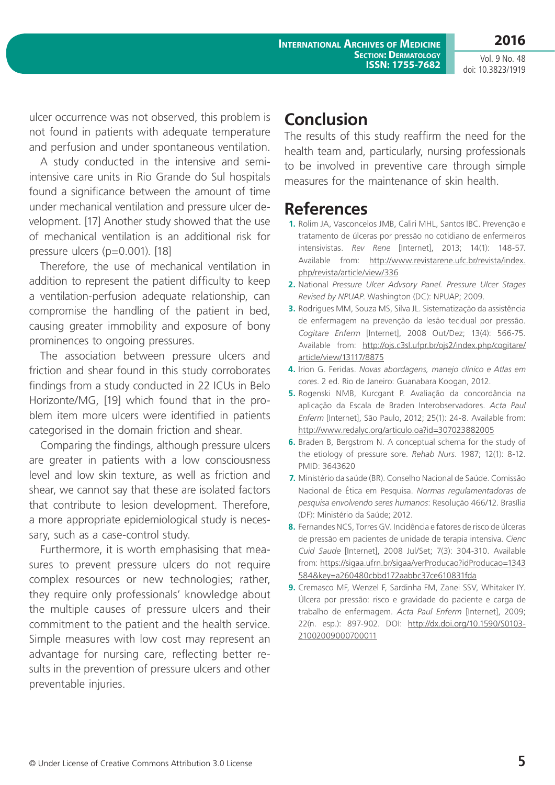**International Archives of Medicine**

Vol. 9 No. 48 doi: 10.3823/1919

**2016**

ulcer occurrence was not observed, this problem is not found in patients with adequate temperature and perfusion and under spontaneous ventilation.

A study conducted in the intensive and semiintensive care units in Rio Grande do Sul hospitals found a significance between the amount of time under mechanical ventilation and pressure ulcer development. [17] Another study showed that the use of mechanical ventilation is an additional risk for pressure ulcers (p=0.001). [18]

Therefore, the use of mechanical ventilation in addition to represent the patient difficulty to keep a ventilation-perfusion adequate relationship, can compromise the handling of the patient in bed, causing greater immobility and exposure of bony prominences to ongoing pressures.

The association between pressure ulcers and friction and shear found in this study corroborates findings from a study conducted in 22 ICUs in Belo Horizonte/MG, [19] which found that in the problem item more ulcers were identified in patients categorised in the domain friction and shear.

Comparing the findings, although pressure ulcers are greater in patients with a low consciousness level and low skin texture, as well as friction and shear, we cannot say that these are isolated factors that contribute to lesion development. Therefore, a more appropriate epidemiological study is necessary, such as a case-control study.

Furthermore, it is worth emphasising that measures to prevent pressure ulcers do not require complex resources or new technologies; rather, they require only professionals' knowledge about the multiple causes of pressure ulcers and their commitment to the patient and the health service. Simple measures with low cost may represent an advantage for nursing care, reflecting better results in the prevention of pressure ulcers and other preventable injuries.

# **Conclusion**

The results of this study reaffirm the need for the health team and, particularly, nursing professionals to be involved in preventive care through simple measures for the maintenance of skin health.

# **References**

- **1.** Rolim JA, Vasconcelos JMB, Caliri MHL, Santos IBC. Prevenção e tratamento de úlceras por pressão no cotidiano de enfermeiros intensivistas. *Rev Rene* [Internet], 2013; 14(1): 148-57. Available from: [http://www.revistarene.ufc.br/revista/index.](http://www.revistarene.ufc.br/revista/index.php/revista/article/view/336) [php/revista/article/view/336](http://www.revistarene.ufc.br/revista/index.php/revista/article/view/336)
- **2.** National *Pressure Ulcer Advsory Panel. Pressure Ulcer Stages Revised by NPUAP*. Washington (DC): NPUAP; 2009.
- **3.** Rodrigues MM, Souza MS, Silva JL. Sistematização da assistência de enfermagem na prevenção da lesão tecidual por pressão. *Cogitare Enferm* [Internet], 2008 Out/Dez; 13(4): 566-75. Available from: [http://ojs.c3sl.ufpr.br/ojs2/index.php/cogitare/](http://ojs.c3sl.ufpr.br/ojs2/index.php/cogitare/article/view/13117/8875) [article/view/13117/8875](http://ojs.c3sl.ufpr.br/ojs2/index.php/cogitare/article/view/13117/8875)
- **4.** Irion G. Feridas. *Novas abordagens, manejo clínico e Atlas em cores*. 2 ed. Rio de Janeiro: Guanabara Koogan, 2012.
- **5.** Rogenski NMB, Kurcgant P. Avaliação da concordância na aplicação da Escala de Braden Interobservadores. *Acta Paul Enferm* [Internet], São Paulo, 2012; 25(1): 24-8. Available from: <http://www.redalyc.org/articulo.oa?id=307023882005>
- **6.** Braden B, Bergstrom N. A conceptual schema for the study of the etiology of pressure sore. *Rehab Nurs*. 1987; 12(1): 8-12. PMID: 3643620
- **7.** Ministério da saúde (BR). Conselho Nacional de Saúde. Comissão Nacional de Ética em Pesquisa. *Normas regulamentadoras de pesquisa envolvendo seres humanos*: Resolução 466/12. Brasília (DF): Ministério da Saúde; 2012.
- **8.** Fernandes NCS, Torres GV. Incidência e fatores de risco de úlceras de pressão em pacientes de unidade de terapia intensiva. *Cienc Cuid Saude* [Internet], 2008 Jul/Set; 7(3): 304-310. Available from: [https://sigaa.ufrn.br/sigaa/verProducao?idProducao=1343](https://sigaa.ufrn.br/sigaa/verProducao?idProducao=1343584&key=a260480cbbd172aabbc37ce610831fda) [584&key=a260480cbbd172aabbc37ce610831fda](https://sigaa.ufrn.br/sigaa/verProducao?idProducao=1343584&key=a260480cbbd172aabbc37ce610831fda)
- **9.** Cremasco MF, Wenzel F, Sardinha FM, Zanei SSV, Whitaker IY. Úlcera por pressão: risco e gravidade do paciente e carga de trabalho de enfermagem. *Acta Paul Enferm* [Internet], 2009; 22(n. esp.): 897-902. DOI: [http://dx.doi.org/10.1590/S0103-](http://dx.doi.org/10.1590/S0103-21002009000700011) [21002009000700011](http://dx.doi.org/10.1590/S0103-21002009000700011)